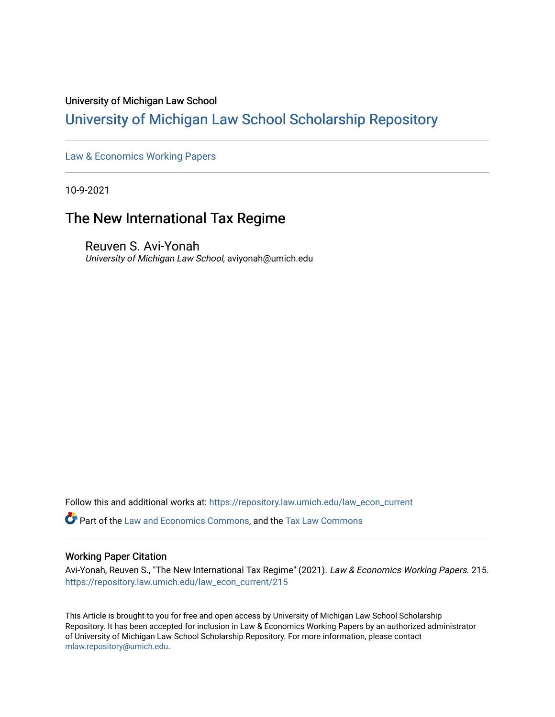## University of Michigan Law School

# [University of Michigan Law School Scholarship Repository](https://repository.law.umich.edu/)

[Law & Economics Working Papers](https://repository.law.umich.edu/law_econ_current)

10-9-2021

# The New International Tax Regime

Reuven S. Avi-Yonah University of Michigan Law School, aviyonah@umich.edu

Follow this and additional works at: [https://repository.law.umich.edu/law\\_econ\\_current](https://repository.law.umich.edu/law_econ_current?utm_source=repository.law.umich.edu%2Flaw_econ_current%2F215&utm_medium=PDF&utm_campaign=PDFCoverPages) 

**P** Part of the [Law and Economics Commons](http://network.bepress.com/hgg/discipline/612?utm_source=repository.law.umich.edu%2Flaw_econ_current%2F215&utm_medium=PDF&utm_campaign=PDFCoverPages), and the [Tax Law Commons](http://network.bepress.com/hgg/discipline/898?utm_source=repository.law.umich.edu%2Flaw_econ_current%2F215&utm_medium=PDF&utm_campaign=PDFCoverPages)

#### Working Paper Citation

Avi-Yonah, Reuven S., "The New International Tax Regime" (2021). Law & Economics Working Papers. 215. [https://repository.law.umich.edu/law\\_econ\\_current/215](https://repository.law.umich.edu/law_econ_current/215?utm_source=repository.law.umich.edu%2Flaw_econ_current%2F215&utm_medium=PDF&utm_campaign=PDFCoverPages) 

This Article is brought to you for free and open access by University of Michigan Law School Scholarship Repository. It has been accepted for inclusion in Law & Economics Working Papers by an authorized administrator of University of Michigan Law School Scholarship Repository. For more information, please contact [mlaw.repository@umich.edu.](mailto:mlaw.repository@umich.edu)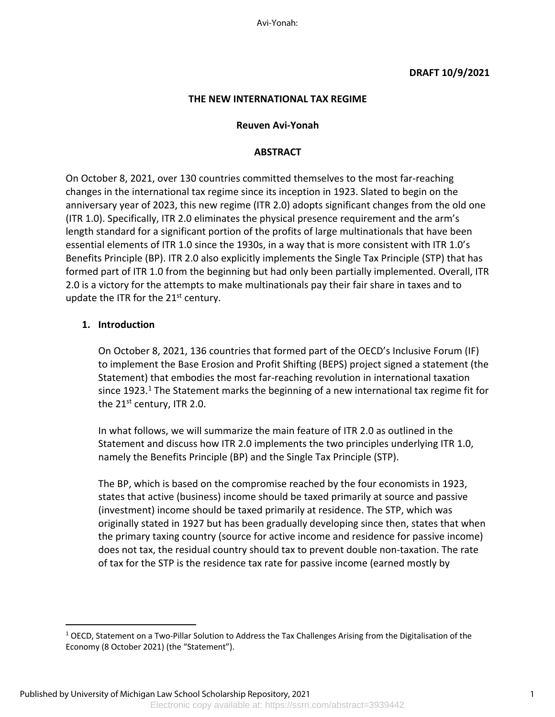Avi-Yonah:

## **DRAFT 10/9/2021**

#### **THE NEW INTERNATIONAL TAX REGIME**

#### **Reuven Avi-Yonah**

#### **ABSTRACT**

On October 8, 2021, over 130 countries committed themselves to the most far-reaching changes in the international tax regime since its inception in 1923. Slated to begin on the anniversary year of 2023, this new regime (ITR 2.0) adopts significant changes from the old one (ITR 1.0). Specifically, ITR 2.0 eliminates the physical presence requirement and the arm's length standard for a significant portion of the profits of large multinationals that have been essential elements of ITR 1.0 since the 1930s, in a way that is more consistent with ITR 1.0's Benefits Principle (BP). ITR 2.0 also explicitly implements the Single Tax Principle (STP) that has formed part of ITR 1.0 from the beginning but had only been partially implemented. Overall, ITR 2.0 is a victory for the attempts to make multinationals pay their fair share in taxes and to update the ITR for the  $21<sup>st</sup>$  century.

#### **1. Introduction**

On October 8, 2021, 136 countries that formed part of the OECD's Inclusive Forum (IF) to implement the Base Erosion and Profit Shifting (BEPS) project signed a statement (the Statement) that embodies the most far-reaching revolution in international taxation since  $1923.<sup>1</sup>$  The Statement marks the beginning of a new international tax regime fit for the  $21^{st}$  century, ITR 2.0.

In what follows, we will summarize the main feature of ITR 2.0 as outlined in the Statement and discuss how ITR 2.0 implements the two principles underlying ITR 1.0, namely the Benefits Principle (BP) and the Single Tax Principle (STP).

The BP, which is based on the compromise reached by the four economists in 1923, states that active (business) income should be taxed primarily at source and passive (investment) income should be taxed primarily at residence. The STP, which was originally stated in 1927 but has been gradually developing since then, states that when the primary taxing country (source for active income and residence for passive income) does not tax, the residual country should tax to prevent double non-taxation. The rate of tax for the STP is the residence tax rate for passive income (earned mostly by

 $1$  OECD, Statement on a Two-Pillar Solution to Address the Tax Challenges Arising from the Digitalisation of the Economy (8 October 2021) (the "Statement").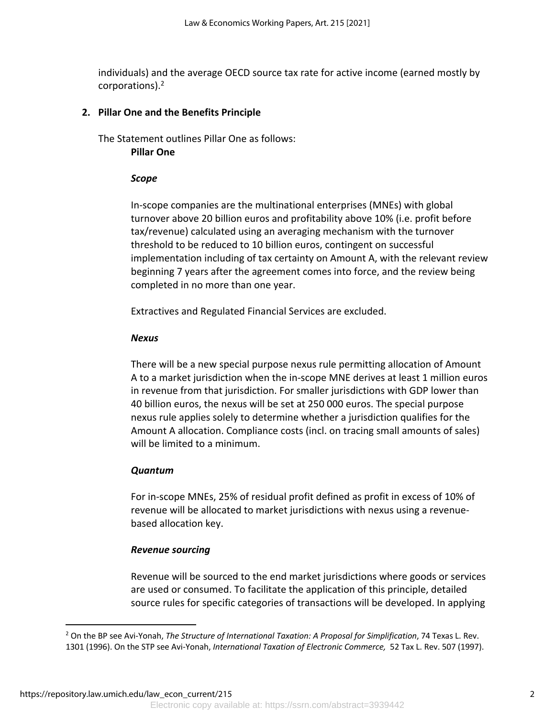individuals) and the average OECD source tax rate for active income (earned mostly by corporations).2

## **2. Pillar One and the Benefits Principle**

The Statement outlines Pillar One as follows: **Pillar One** 

## *Scope*

In-scope companies are the multinational enterprises (MNEs) with global turnover above 20 billion euros and profitability above 10% (i.e. profit before tax/revenue) calculated using an averaging mechanism with the turnover threshold to be reduced to 10 billion euros, contingent on successful implementation including of tax certainty on Amount A, with the relevant review beginning 7 years after the agreement comes into force, and the review being completed in no more than one year.

Extractives and Regulated Financial Services are excluded.

## *Nexus*

There will be a new special purpose nexus rule permitting allocation of Amount A to a market jurisdiction when the in-scope MNE derives at least 1 million euros in revenue from that jurisdiction. For smaller jurisdictions with GDP lower than 40 billion euros, the nexus will be set at 250 000 euros. The special purpose nexus rule applies solely to determine whether a jurisdiction qualifies for the Amount A allocation. Compliance costs (incl. on tracing small amounts of sales) will be limited to a minimum.

## *Quantum*

For in-scope MNEs, 25% of residual profit defined as profit in excess of 10% of revenue will be allocated to market jurisdictions with nexus using a revenuebased allocation key.

## *Revenue sourcing*

Revenue will be sourced to the end market jurisdictions where goods or services are used or consumed. To facilitate the application of this principle, detailed source rules for specific categories of transactions will be developed. In applying

<sup>2</sup> On the BP see Avi-Yonah, *The Structure of International Taxation: A Proposal for Simplification*, 74 Texas L. Rev. 1301 (1996). On the STP see Avi-Yonah, *International Taxation of Electronic Commerce,* 52 Tax L. Rev. 507 (1997).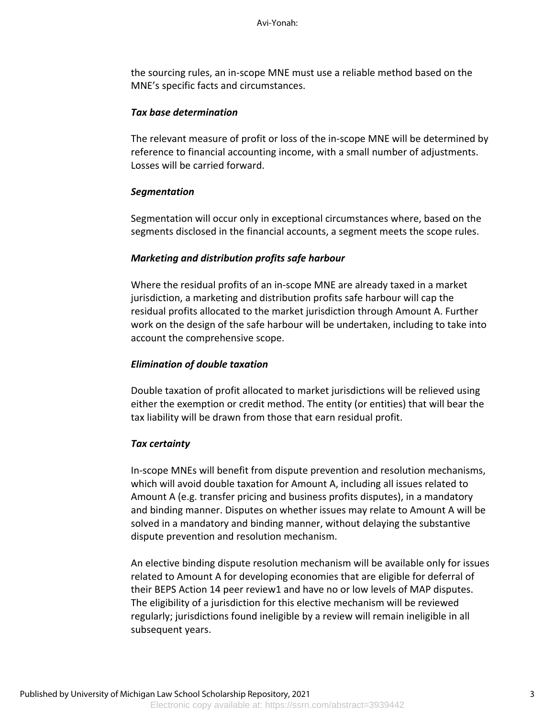the sourcing rules, an in-scope MNE must use a reliable method based on the MNE's specific facts and circumstances.

#### *Tax base determination*

The relevant measure of profit or loss of the in-scope MNE will be determined by reference to financial accounting income, with a small number of adjustments. Losses will be carried forward.

### *Segmentation*

Segmentation will occur only in exceptional circumstances where, based on the segments disclosed in the financial accounts, a segment meets the scope rules.

### *Marketing and distribution profits safe harbour*

Where the residual profits of an in-scope MNE are already taxed in a market jurisdiction, a marketing and distribution profits safe harbour will cap the residual profits allocated to the market jurisdiction through Amount A. Further work on the design of the safe harbour will be undertaken, including to take into account the comprehensive scope.

### *Elimination of double taxation*

Double taxation of profit allocated to market jurisdictions will be relieved using either the exemption or credit method. The entity (or entities) that will bear the tax liability will be drawn from those that earn residual profit.

### *Tax certainty*

In-scope MNEs will benefit from dispute prevention and resolution mechanisms, which will avoid double taxation for Amount A, including all issues related to Amount A (e.g. transfer pricing and business profits disputes), in a mandatory and binding manner. Disputes on whether issues may relate to Amount A will be solved in a mandatory and binding manner, without delaying the substantive dispute prevention and resolution mechanism.

An elective binding dispute resolution mechanism will be available only for issues related to Amount A for developing economies that are eligible for deferral of their BEPS Action 14 peer review1 and have no or low levels of MAP disputes. The eligibility of a jurisdiction for this elective mechanism will be reviewed regularly; jurisdictions found ineligible by a review will remain ineligible in all subsequent years.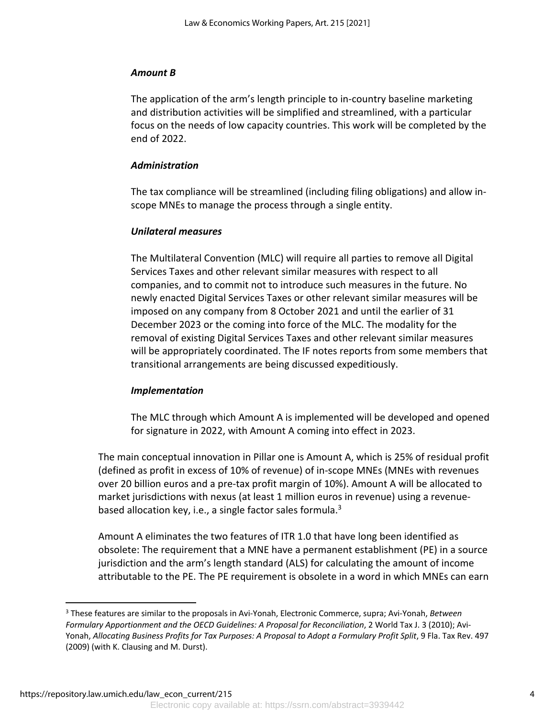## *Amount B*

The application of the arm's length principle to in-country baseline marketing and distribution activities will be simplified and streamlined, with a particular focus on the needs of low capacity countries. This work will be completed by the end of 2022.

## *Administration*

The tax compliance will be streamlined (including filing obligations) and allow inscope MNEs to manage the process through a single entity.

## *Unilateral measures*

The Multilateral Convention (MLC) will require all parties to remove all Digital Services Taxes and other relevant similar measures with respect to all companies, and to commit not to introduce such measures in the future. No newly enacted Digital Services Taxes or other relevant similar measures will be imposed on any company from 8 October 2021 and until the earlier of 31 December 2023 or the coming into force of the MLC. The modality for the removal of existing Digital Services Taxes and other relevant similar measures will be appropriately coordinated. The IF notes reports from some members that transitional arrangements are being discussed expeditiously.

### *Implementation*

The MLC through which Amount A is implemented will be developed and opened for signature in 2022, with Amount A coming into effect in 2023.

The main conceptual innovation in Pillar one is Amount A, which is 25% of residual profit (defined as profit in excess of 10% of revenue) of in-scope MNEs (MNEs with revenues over 20 billion euros and a pre-tax profit margin of 10%). Amount A will be allocated to market jurisdictions with nexus (at least 1 million euros in revenue) using a revenuebased allocation key, i.e., a single factor sales formula.<sup>3</sup>

Amount A eliminates the two features of ITR 1.0 that have long been identified as obsolete: The requirement that a MNE have a permanent establishment (PE) in a source jurisdiction and the arm's length standard (ALS) for calculating the amount of income attributable to the PE. The PE requirement is obsolete in a word in which MNEs can earn

<sup>3</sup> These features are similar to the proposals in Avi-Yonah, Electronic Commerce, supra; Avi-Yonah, *Between Formulary Apportionment and the OECD Guidelines: A Proposal for Reconciliation*, 2 World Tax J. 3 (2010); Avi-Yonah, *Allocating Business Profits for Tax Purposes: A Proposal to Adopt a Formulary Profit Split*, 9 Fla. Tax Rev. 497 (2009) (with K. Clausing and M. Durst).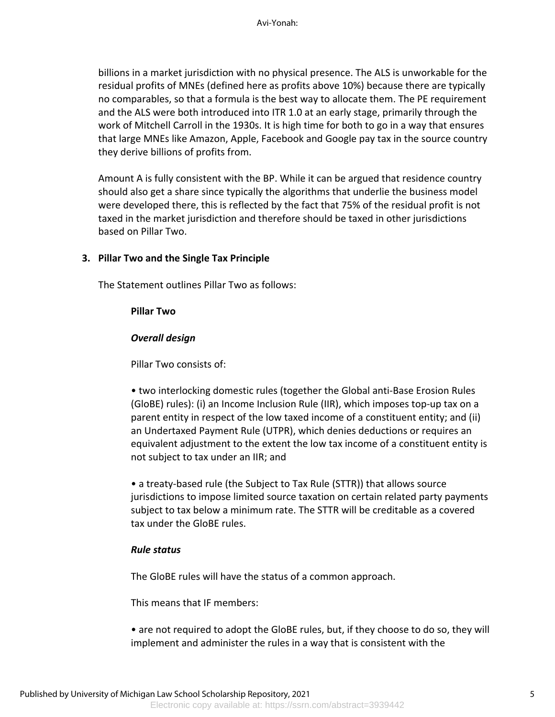billions in a market jurisdiction with no physical presence. The ALS is unworkable for the residual profits of MNEs (defined here as profits above 10%) because there are typically no comparables, so that a formula is the best way to allocate them. The PE requirement and the ALS were both introduced into ITR 1.0 at an early stage, primarily through the work of Mitchell Carroll in the 1930s. It is high time for both to go in a way that ensures that large MNEs like Amazon, Apple, Facebook and Google pay tax in the source country they derive billions of profits from.

Amount A is fully consistent with the BP. While it can be argued that residence country should also get a share since typically the algorithms that underlie the business model were developed there, this is reflected by the fact that 75% of the residual profit is not taxed in the market jurisdiction and therefore should be taxed in other jurisdictions based on Pillar Two.

#### **3. Pillar Two and the Single Tax Principle**

The Statement outlines Pillar Two as follows:

#### **Pillar Two**

#### *Overall design*

Pillar Two consists of:

• two interlocking domestic rules (together the Global anti-Base Erosion Rules (GloBE) rules): (i) an Income Inclusion Rule (IIR), which imposes top-up tax on a parent entity in respect of the low taxed income of a constituent entity; and (ii) an Undertaxed Payment Rule (UTPR), which denies deductions or requires an equivalent adjustment to the extent the low tax income of a constituent entity is not subject to tax under an IIR; and

• a treaty-based rule (the Subject to Tax Rule (STTR)) that allows source jurisdictions to impose limited source taxation on certain related party payments subject to tax below a minimum rate. The STTR will be creditable as a covered tax under the GloBE rules.

#### *Rule status*

The GloBE rules will have the status of a common approach.

This means that IF members:

• are not required to adopt the GloBE rules, but, if they choose to do so, they will implement and administer the rules in a way that is consistent with the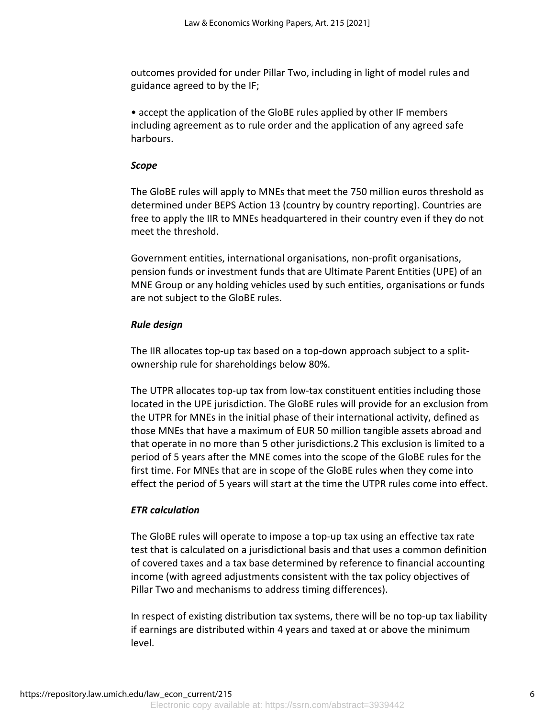outcomes provided for under Pillar Two, including in light of model rules and guidance agreed to by the IF;

• accept the application of the GloBE rules applied by other IF members including agreement as to rule order and the application of any agreed safe harbours.

### *Scope*

The GloBE rules will apply to MNEs that meet the 750 million euros threshold as determined under BEPS Action 13 (country by country reporting). Countries are free to apply the IIR to MNEs headquartered in their country even if they do not meet the threshold.

Government entities, international organisations, non-profit organisations, pension funds or investment funds that are Ultimate Parent Entities (UPE) of an MNE Group or any holding vehicles used by such entities, organisations or funds are not subject to the GloBE rules.

### *Rule design*

The IIR allocates top-up tax based on a top-down approach subject to a splitownership rule for shareholdings below 80%.

The UTPR allocates top-up tax from low-tax constituent entities including those located in the UPE jurisdiction. The GloBE rules will provide for an exclusion from the UTPR for MNEs in the initial phase of their international activity, defined as those MNEs that have a maximum of EUR 50 million tangible assets abroad and that operate in no more than 5 other jurisdictions.2 This exclusion is limited to a period of 5 years after the MNE comes into the scope of the GloBE rules for the first time. For MNEs that are in scope of the GloBE rules when they come into effect the period of 5 years will start at the time the UTPR rules come into effect.

### *ETR calculation*

The GloBE rules will operate to impose a top-up tax using an effective tax rate test that is calculated on a jurisdictional basis and that uses a common definition of covered taxes and a tax base determined by reference to financial accounting income (with agreed adjustments consistent with the tax policy objectives of Pillar Two and mechanisms to address timing differences).

In respect of existing distribution tax systems, there will be no top-up tax liability if earnings are distributed within 4 years and taxed at or above the minimum level.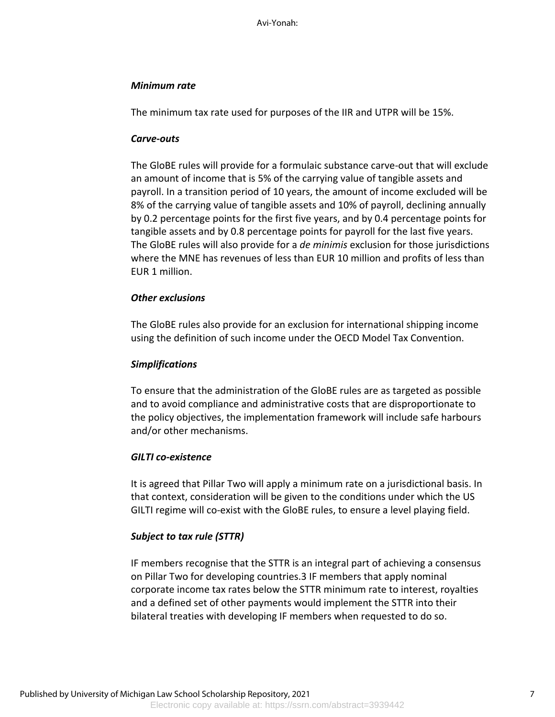Avi-Yonah:

## *Minimum rate*

The minimum tax rate used for purposes of the IIR and UTPR will be 15%.

## *Carve-outs*

The GloBE rules will provide for a formulaic substance carve-out that will exclude an amount of income that is 5% of the carrying value of tangible assets and payroll. In a transition period of 10 years, the amount of income excluded will be 8% of the carrying value of tangible assets and 10% of payroll, declining annually by 0.2 percentage points for the first five years, and by 0.4 percentage points for tangible assets and by 0.8 percentage points for payroll for the last five years. The GloBE rules will also provide for a *de minimis* exclusion for those jurisdictions where the MNE has revenues of less than EUR 10 million and profits of less than EUR 1 million.

## *Other exclusions*

The GloBE rules also provide for an exclusion for international shipping income using the definition of such income under the OECD Model Tax Convention.

## *Simplifications*

To ensure that the administration of the GloBE rules are as targeted as possible and to avoid compliance and administrative costs that are disproportionate to the policy objectives, the implementation framework will include safe harbours and/or other mechanisms.

## *GILTI co-existence*

It is agreed that Pillar Two will apply a minimum rate on a jurisdictional basis. In that context, consideration will be given to the conditions under which the US GILTI regime will co-exist with the GloBE rules, to ensure a level playing field.

## *Subject to tax rule (STTR)*

IF members recognise that the STTR is an integral part of achieving a consensus on Pillar Two for developing countries.3 IF members that apply nominal corporate income tax rates below the STTR minimum rate to interest, royalties and a defined set of other payments would implement the STTR into their bilateral treaties with developing IF members when requested to do so.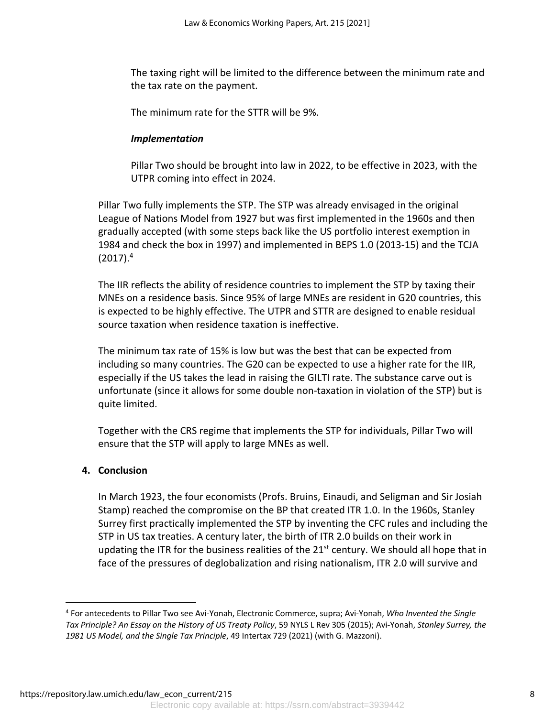The taxing right will be limited to the difference between the minimum rate and the tax rate on the payment.

The minimum rate for the STTR will be 9%.

## *Implementation*

Pillar Two should be brought into law in 2022, to be effective in 2023, with the UTPR coming into effect in 2024.

Pillar Two fully implements the STP. The STP was already envisaged in the original League of Nations Model from 1927 but was first implemented in the 1960s and then gradually accepted (with some steps back like the US portfolio interest exemption in 1984 and check the box in 1997) and implemented in BEPS 1.0 (2013-15) and the TCJA  $(2017).<sup>4</sup>$ 

The IIR reflects the ability of residence countries to implement the STP by taxing their MNEs on a residence basis. Since 95% of large MNEs are resident in G20 countries, this is expected to be highly effective. The UTPR and STTR are designed to enable residual source taxation when residence taxation is ineffective.

The minimum tax rate of 15% is low but was the best that can be expected from including so many countries. The G20 can be expected to use a higher rate for the IIR, especially if the US takes the lead in raising the GILTI rate. The substance carve out is unfortunate (since it allows for some double non-taxation in violation of the STP) but is quite limited.

Together with the CRS regime that implements the STP for individuals, Pillar Two will ensure that the STP will apply to large MNEs as well.

## **4. Conclusion**

In March 1923, the four economists (Profs. Bruins, Einaudi, and Seligman and Sir Josiah Stamp) reached the compromise on the BP that created ITR 1.0. In the 1960s, Stanley Surrey first practically implemented the STP by inventing the CFC rules and including the STP in US tax treaties. A century later, the birth of ITR 2.0 builds on their work in updating the ITR for the business realities of the  $21<sup>st</sup>$  century. We should all hope that in face of the pressures of deglobalization and rising nationalism, ITR 2.0 will survive and

<sup>4</sup> For antecedents to Pillar Two see Avi-Yonah, Electronic Commerce, supra; Avi-Yonah, *Who Invented the Single Tax Principle? An Essay on the History of US Treaty Policy*, 59 NYLS L Rev 305 (2015); Avi-Yonah, *Stanley Surrey, the 1981 US Model, and the Single Tax Principle*, 49 Intertax 729 (2021) (with G. Mazzoni).